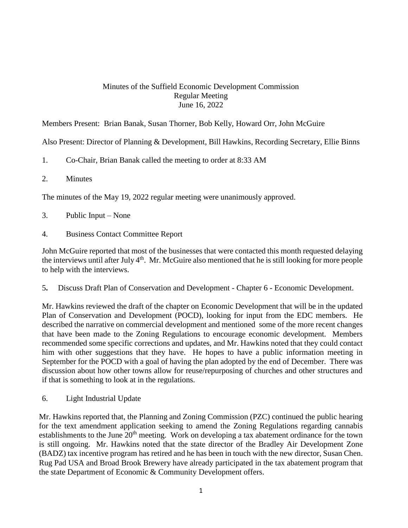## Minutes of the Suffield Economic Development Commission Regular Meeting June 16, 2022

Members Present: Brian Banak, Susan Thorner, Bob Kelly, Howard Orr, John McGuire

Also Present: Director of Planning & Development, Bill Hawkins, Recording Secretary, Ellie Binns

- 1. Co-Chair, Brian Banak called the meeting to order at 8:33 AM
- 2. Minutes

The minutes of the May 19, 2022 regular meeting were unanimously approved.

- 3. Public Input None
- 4. Business Contact Committee Report

John McGuire reported that most of the businesses that were contacted this month requested delaying the interviews until after July  $4<sup>th</sup>$ . Mr. McGuire also mentioned that he is still looking for more people to help with the interviews.

5**.** Discuss Draft Plan of Conservation and Development - Chapter 6 - Economic Development.

Mr. Hawkins reviewed the draft of the chapter on Economic Development that will be in the updated Plan of Conservation and Development (POCD), looking for input from the EDC members. He described the narrative on commercial development and mentioned some of the more recent changes that have been made to the Zoning Regulations to encourage economic development. Members recommended some specific corrections and updates, and Mr. Hawkins noted that they could contact him with other suggestions that they have. He hopes to have a public information meeting in September for the POCD with a goal of having the plan adopted by the end of December. There was discussion about how other towns allow for reuse/repurposing of churches and other structures and if that is something to look at in the regulations.

6. Light Industrial Update

Mr. Hawkins reported that, the Planning and Zoning Commission (PZC) continued the public hearing for the text amendment application seeking to amend the Zoning Regulations regarding cannabis establishments to the June 20<sup>th</sup> meeting. Work on developing a tax abatement ordinance for the town is still ongoing. Mr. Hawkins noted that the state director of the Bradley Air Development Zone (BADZ) tax incentive program has retired and he has been in touch with the new director, Susan Chen. Rug Pad USA and Broad Brook Brewery have already participated in the tax abatement program that the state Department of Economic & Community Development offers.